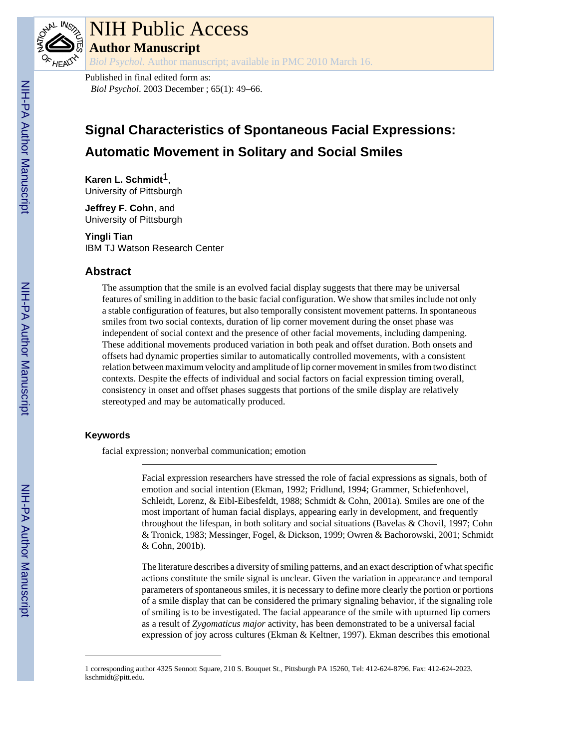

## NIH Public Access **Author Manuscript**

*Biol Psychol*. Author manuscript; available in PMC 2010 March 16.

Published in final edited form as: *Biol Psychol*. 2003 December ; 65(1): 49–66.

# **Signal Characteristics of Spontaneous Facial Expressions: Automatic Movement in Solitary and Social Smiles**

Karen L. Schmidt<sup>1</sup>. University of Pittsburgh

**Jeffrey F. Cohn**, and University of Pittsburgh

**Yingli Tian** IBM TJ Watson Research Center

## **Abstract**

The assumption that the smile is an evolved facial display suggests that there may be universal features of smiling in addition to the basic facial configuration. We show that smiles include not only a stable configuration of features, but also temporally consistent movement patterns. In spontaneous smiles from two social contexts, duration of lip corner movement during the onset phase was independent of social context and the presence of other facial movements, including dampening. These additional movements produced variation in both peak and offset duration. Both onsets and offsets had dynamic properties similar to automatically controlled movements, with a consistent relation between maximum velocity and amplitude of lip corner movement in smiles from two distinct contexts. Despite the effects of individual and social factors on facial expression timing overall, consistency in onset and offset phases suggests that portions of the smile display are relatively stereotyped and may be automatically produced.

## **Keywords**

facial expression; nonverbal communication; emotion

Facial expression researchers have stressed the role of facial expressions as signals, both of emotion and social intention (Ekman, 1992; Fridlund, 1994; Grammer, Schiefenhovel, Schleidt, Lorenz, & Eibl-Eibesfeldt, 1988; Schmidt & Cohn, 2001a). Smiles are one of the most important of human facial displays, appearing early in development, and frequently throughout the lifespan, in both solitary and social situations (Bavelas & Chovil, 1997; Cohn & Tronick, 1983; Messinger, Fogel, & Dickson, 1999; Owren & Bachorowski, 2001; Schmidt & Cohn, 2001b).

The literature describes a diversity of smiling patterns, and an exact description of what specific actions constitute the smile signal is unclear. Given the variation in appearance and temporal parameters of spontaneous smiles, it is necessary to define more clearly the portion or portions of a smile display that can be considered the primary signaling behavior, if the signaling role of smiling is to be investigated. The facial appearance of the smile with upturned lip corners as a result of *Zygomaticus major* activity, has been demonstrated to be a universal facial expression of joy across cultures (Ekman & Keltner, 1997). Ekman describes this emotional

<sup>1</sup> corresponding author 4325 Sennott Square, 210 S. Bouquet St., Pittsburgh PA 15260, Tel: 412-624-8796. Fax: 412-624-2023. kschmidt@pitt.edu.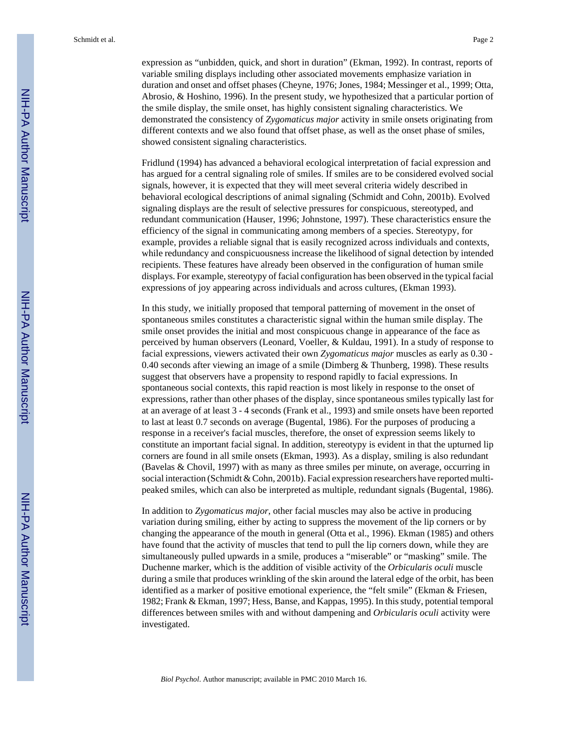expression as "unbidden, quick, and short in duration" (Ekman, 1992). In contrast, reports of variable smiling displays including other associated movements emphasize variation in duration and onset and offset phases (Cheyne, 1976; Jones, 1984; Messinger et al., 1999; Otta, Abrosio, & Hoshino, 1996). In the present study, we hypothesized that a particular portion of the smile display, the smile onset, has highly consistent signaling characteristics. We demonstrated the consistency of *Zygomaticus major* activity in smile onsets originating from different contexts and we also found that offset phase, as well as the onset phase of smiles, showed consistent signaling characteristics.

Fridlund (1994) has advanced a behavioral ecological interpretation of facial expression and has argued for a central signaling role of smiles. If smiles are to be considered evolved social signals, however, it is expected that they will meet several criteria widely described in behavioral ecological descriptions of animal signaling (Schmidt and Cohn, 2001b). Evolved signaling displays are the result of selective pressures for conspicuous, stereotyped, and redundant communication (Hauser, 1996; Johnstone, 1997). These characteristics ensure the efficiency of the signal in communicating among members of a species. Stereotypy, for example, provides a reliable signal that is easily recognized across individuals and contexts, while redundancy and conspicuousness increase the likelihood of signal detection by intended recipients. These features have already been observed in the configuration of human smile displays. For example, stereotypy of facial configuration has been observed in the typical facial expressions of joy appearing across individuals and across cultures, (Ekman 1993).

In this study, we initially proposed that temporal patterning of movement in the onset of spontaneous smiles constitutes a characteristic signal within the human smile display. The smile onset provides the initial and most conspicuous change in appearance of the face as perceived by human observers (Leonard, Voeller, & Kuldau, 1991). In a study of response to facial expressions, viewers activated their own *Zygomaticus major* muscles as early as 0.30 - 0.40 seconds after viewing an image of a smile (Dimberg & Thunberg, 1998). These results suggest that observers have a propensity to respond rapidly to facial expressions. In spontaneous social contexts, this rapid reaction is most likely in response to the onset of expressions, rather than other phases of the display, since spontaneous smiles typically last for at an average of at least 3 - 4 seconds (Frank et al., 1993) and smile onsets have been reported to last at least 0.7 seconds on average (Bugental, 1986). For the purposes of producing a response in a receiver's facial muscles, therefore, the onset of expression seems likely to constitute an important facial signal. In addition, stereotypy is evident in that the upturned lip corners are found in all smile onsets (Ekman, 1993). As a display, smiling is also redundant (Bavelas & Chovil, 1997) with as many as three smiles per minute, on average, occurring in social interaction (Schmidt & Cohn, 2001b). Facial expression researchers have reported multipeaked smiles, which can also be interpreted as multiple, redundant signals (Bugental, 1986).

In addition to *Zygomaticus major*, other facial muscles may also be active in producing variation during smiling, either by acting to suppress the movement of the lip corners or by changing the appearance of the mouth in general (Otta et al., 1996). Ekman (1985) and others have found that the activity of muscles that tend to pull the lip corners down, while they are simultaneously pulled upwards in a smile, produces a "miserable" or "masking" smile. The Duchenne marker, which is the addition of visible activity of the *Orbicularis oculi* muscle during a smile that produces wrinkling of the skin around the lateral edge of the orbit, has been identified as a marker of positive emotional experience, the "felt smile" (Ekman & Friesen, 1982; Frank & Ekman, 1997; Hess, Banse, and Kappas, 1995). In this study, potential temporal differences between smiles with and without dampening and *Orbicularis oculi* activity were investigated.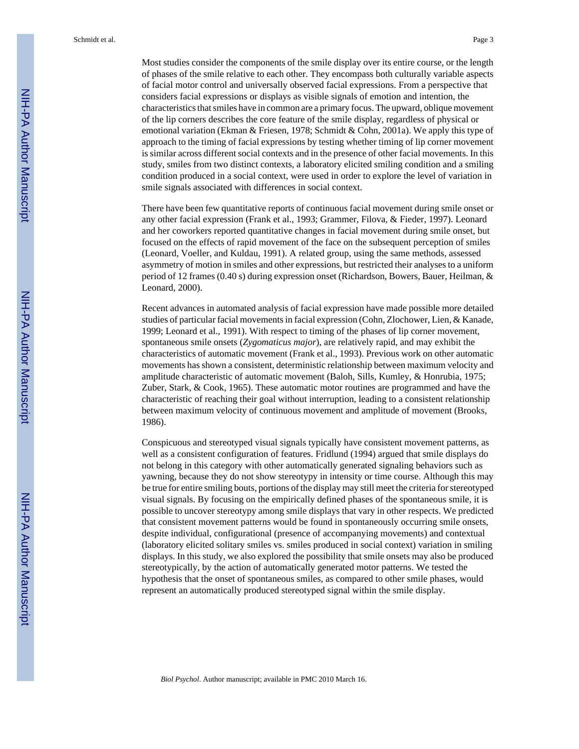Most studies consider the components of the smile display over its entire course, or the length of phases of the smile relative to each other. They encompass both culturally variable aspects of facial motor control and universally observed facial expressions. From a perspective that considers facial expressions or displays as visible signals of emotion and intention, the characteristics that smiles have in common are a primary focus. The upward, oblique movement of the lip corners describes the core feature of the smile display, regardless of physical or emotional variation (Ekman & Friesen, 1978; Schmidt & Cohn, 2001a). We apply this type of approach to the timing of facial expressions by testing whether timing of lip corner movement is similar across different social contexts and in the presence of other facial movements. In this study, smiles from two distinct contexts, a laboratory elicited smiling condition and a smiling condition produced in a social context, were used in order to explore the level of variation in smile signals associated with differences in social context.

There have been few quantitative reports of continuous facial movement during smile onset or any other facial expression (Frank et al., 1993; Grammer, Filova, & Fieder, 1997). Leonard and her coworkers reported quantitative changes in facial movement during smile onset, but focused on the effects of rapid movement of the face on the subsequent perception of smiles (Leonard, Voeller, and Kuldau, 1991). A related group, using the same methods, assessed asymmetry of motion in smiles and other expressions, but restricted their analyses to a uniform period of 12 frames (0.40 s) during expression onset (Richardson, Bowers, Bauer, Heilman, & Leonard, 2000).

Recent advances in automated analysis of facial expression have made possible more detailed studies of particular facial movements in facial expression (Cohn, Zlochower, Lien, & Kanade, 1999; Leonard et al., 1991). With respect to timing of the phases of lip corner movement, spontaneous smile onsets (*Zygomaticus major*), are relatively rapid, and may exhibit the characteristics of automatic movement (Frank et al., 1993). Previous work on other automatic movements has shown a consistent, deterministic relationship between maximum velocity and amplitude characteristic of automatic movement (Baloh, Sills, Kumley, & Honrubia, 1975; Zuber, Stark, & Cook, 1965). These automatic motor routines are programmed and have the characteristic of reaching their goal without interruption, leading to a consistent relationship between maximum velocity of continuous movement and amplitude of movement (Brooks, 1986).

Conspicuous and stereotyped visual signals typically have consistent movement patterns, as well as a consistent configuration of features. Fridlund (1994) argued that smile displays do not belong in this category with other automatically generated signaling behaviors such as yawning, because they do not show stereotypy in intensity or time course. Although this may be true for entire smiling bouts, portions of the display may still meet the criteria for stereotyped visual signals. By focusing on the empirically defined phases of the spontaneous smile, it is possible to uncover stereotypy among smile displays that vary in other respects. We predicted that consistent movement patterns would be found in spontaneously occurring smile onsets, despite individual, configurational (presence of accompanying movements) and contextual (laboratory elicited solitary smiles vs. smiles produced in social context) variation in smiling displays. In this study, we also explored the possibility that smile onsets may also be produced stereotypically, by the action of automatically generated motor patterns. We tested the hypothesis that the onset of spontaneous smiles, as compared to other smile phases, would represent an automatically produced stereotyped signal within the smile display.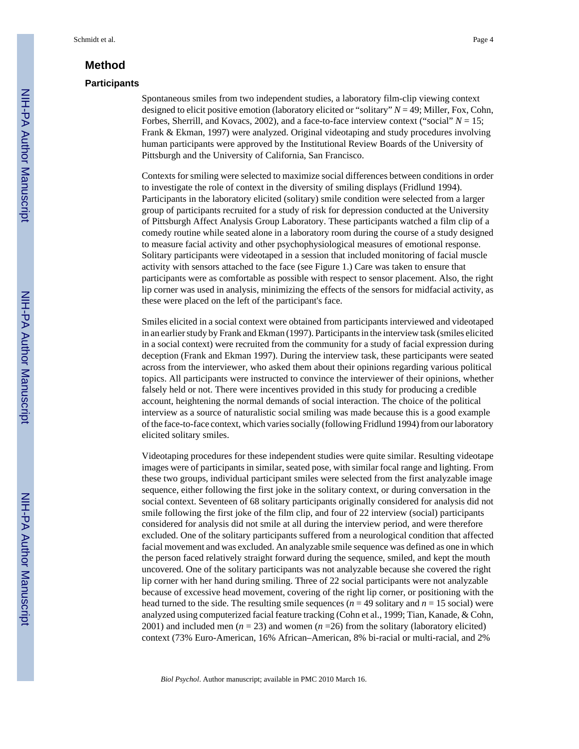## **Method**

## **Participants**

Spontaneous smiles from two independent studies, a laboratory film-clip viewing context designed to elicit positive emotion (laboratory elicited or "solitary" *N* = 49; Miller, Fox, Cohn, Forbes, Sherrill, and Kovacs, 2002), and a face-to-face interview context ("social" *N* = 15; Frank & Ekman, 1997) were analyzed. Original videotaping and study procedures involving human participants were approved by the Institutional Review Boards of the University of Pittsburgh and the University of California, San Francisco.

Contexts for smiling were selected to maximize social differences between conditions in order to investigate the role of context in the diversity of smiling displays (Fridlund 1994). Participants in the laboratory elicited (solitary) smile condition were selected from a larger group of participants recruited for a study of risk for depression conducted at the University of Pittsburgh Affect Analysis Group Laboratory. These participants watched a film clip of a comedy routine while seated alone in a laboratory room during the course of a study designed to measure facial activity and other psychophysiological measures of emotional response. Solitary participants were videotaped in a session that included monitoring of facial muscle activity with sensors attached to the face (see Figure 1.) Care was taken to ensure that participants were as comfortable as possible with respect to sensor placement. Also, the right lip corner was used in analysis, minimizing the effects of the sensors for midfacial activity, as these were placed on the left of the participant's face.

Smiles elicited in a social context were obtained from participants interviewed and videotaped in an earlier study by Frank and Ekman (1997). Participants in the interview task (smiles elicited in a social context) were recruited from the community for a study of facial expression during deception (Frank and Ekman 1997). During the interview task, these participants were seated across from the interviewer, who asked them about their opinions regarding various political topics. All participants were instructed to convince the interviewer of their opinions, whether falsely held or not. There were incentives provided in this study for producing a credible account, heightening the normal demands of social interaction. The choice of the political interview as a source of naturalistic social smiling was made because this is a good example of the face-to-face context, which varies socially (following Fridlund 1994) from our laboratory elicited solitary smiles.

Videotaping procedures for these independent studies were quite similar. Resulting videotape images were of participants in similar, seated pose, with similar focal range and lighting. From these two groups, individual participant smiles were selected from the first analyzable image sequence, either following the first joke in the solitary context, or during conversation in the social context. Seventeen of 68 solitary participants originally considered for analysis did not smile following the first joke of the film clip, and four of 22 interview (social) participants considered for analysis did not smile at all during the interview period, and were therefore excluded. One of the solitary participants suffered from a neurological condition that affected facial movement and was excluded. An analyzable smile sequence was defined as one in which the person faced relatively straight forward during the sequence, smiled, and kept the mouth uncovered. One of the solitary participants was not analyzable because she covered the right lip corner with her hand during smiling. Three of 22 social participants were not analyzable because of excessive head movement, covering of the right lip corner, or positioning with the head turned to the side. The resulting smile sequences ( $n = 49$  solitary and  $n = 15$  social) were analyzed using computerized facial feature tracking (Cohn et al., 1999; Tian, Kanade, & Cohn, 2001) and included men ( $n = 23$ ) and women ( $n = 26$ ) from the solitary (laboratory elicited) context (73% Euro-American, 16% African–American, 8% bi-racial or multi-racial, and 2%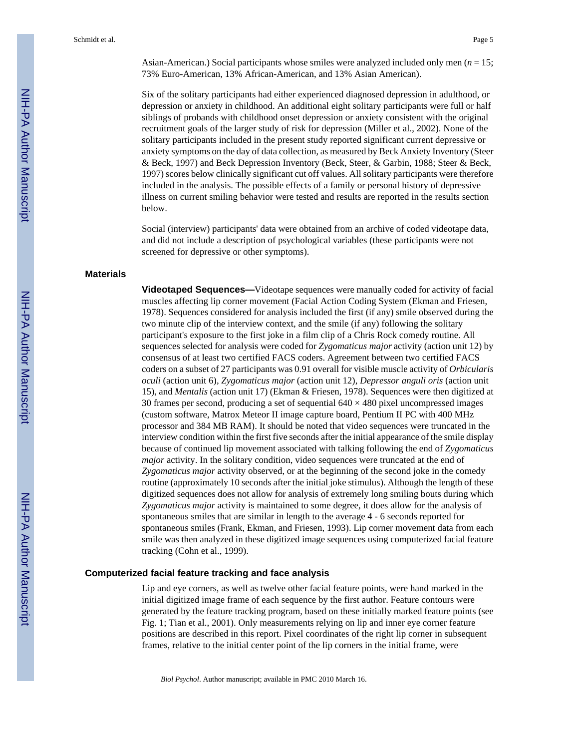Asian-American.) Social participants whose smiles were analyzed included only men  $(n = 15)$ ; 73% Euro-American, 13% African-American, and 13% Asian American).

Six of the solitary participants had either experienced diagnosed depression in adulthood, or depression or anxiety in childhood. An additional eight solitary participants were full or half siblings of probands with childhood onset depression or anxiety consistent with the original recruitment goals of the larger study of risk for depression (Miller et al., 2002). None of the solitary participants included in the present study reported significant current depressive or anxiety symptoms on the day of data collection, as measured by Beck Anxiety Inventory (Steer & Beck, 1997) and Beck Depression Inventory (Beck, Steer, & Garbin, 1988; Steer & Beck, 1997) scores below clinically significant cut off values. All solitary participants were therefore included in the analysis. The possible effects of a family or personal history of depressive illness on current smiling behavior were tested and results are reported in the results section below.

Social (interview) participants' data were obtained from an archive of coded videotape data, and did not include a description of psychological variables (these participants were not screened for depressive or other symptoms).

#### **Materials**

**Videotaped Sequences—**Videotape sequences were manually coded for activity of facial muscles affecting lip corner movement (Facial Action Coding System (Ekman and Friesen, 1978). Sequences considered for analysis included the first (if any) smile observed during the two minute clip of the interview context, and the smile (if any) following the solitary participant's exposure to the first joke in a film clip of a Chris Rock comedy routine. All sequences selected for analysis were coded for *Zygomaticus major* activity (action unit 12) by consensus of at least two certified FACS coders. Agreement between two certified FACS coders on a subset of 27 participants was 0.91 overall for visible muscle activity of *Orbicularis oculi* (action unit 6), *Zygomaticus major* (action unit 12), *Depressor anguli oris* (action unit 15), and *Mentalis* (action unit 17) (Ekman & Friesen, 1978). Sequences were then digitized at 30 frames per second, producing a set of sequential  $640 \times 480$  pixel uncompressed images (custom software, Matrox Meteor II image capture board, Pentium II PC with 400 MHz processor and 384 MB RAM). It should be noted that video sequences were truncated in the interview condition within the first five seconds after the initial appearance of the smile display because of continued lip movement associated with talking following the end of *Zygomaticus major* activity. In the solitary condition, video sequences were truncated at the end of *Zygomaticus major* activity observed, or at the beginning of the second joke in the comedy routine (approximately 10 seconds after the initial joke stimulus). Although the length of these digitized sequences does not allow for analysis of extremely long smiling bouts during which *Zygomaticus major* activity is maintained to some degree, it does allow for the analysis of spontaneous smiles that are similar in length to the average 4 - 6 seconds reported for spontaneous smiles (Frank, Ekman, and Friesen, 1993). Lip corner movement data from each smile was then analyzed in these digitized image sequences using computerized facial feature tracking (Cohn et al., 1999).

#### **Computerized facial feature tracking and face analysis**

Lip and eye corners, as well as twelve other facial feature points, were hand marked in the initial digitized image frame of each sequence by the first author. Feature contours were generated by the feature tracking program, based on these initially marked feature points (see Fig. 1; Tian et al., 2001). Only measurements relying on lip and inner eye corner feature positions are described in this report. Pixel coordinates of the right lip corner in subsequent frames, relative to the initial center point of the lip corners in the initial frame, were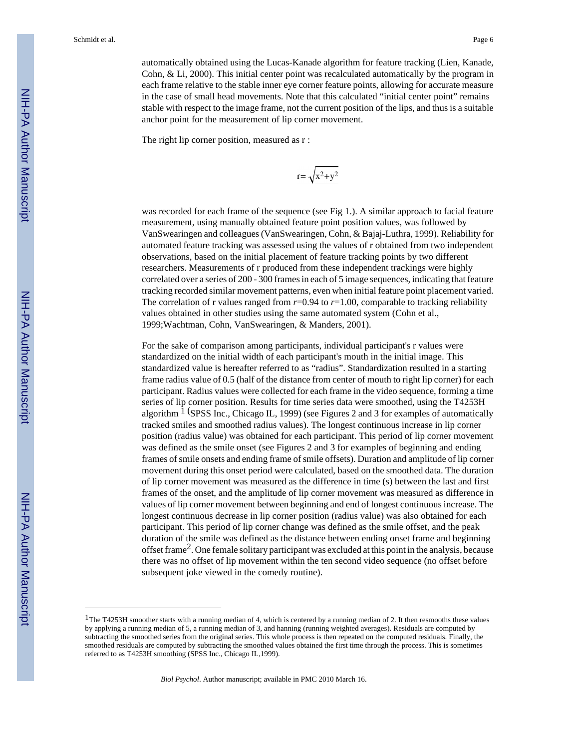Schmidt et al. Page 6

automatically obtained using the Lucas-Kanade algorithm for feature tracking (Lien, Kanade, Cohn, & Li, 2000). This initial center point was recalculated automatically by the program in each frame relative to the stable inner eye corner feature points, allowing for accurate measure in the case of small head movements. Note that this calculated "initial center point" remains stable with respect to the image frame, not the current position of the lips, and thus is a suitable anchor point for the measurement of lip corner movement.

The right lip corner position, measured as r :

$$
r = \sqrt{x^2 + y^2}
$$

was recorded for each frame of the sequence (see Fig 1.). A similar approach to facial feature measurement, using manually obtained feature point position values, was followed by VanSwearingen and colleagues (VanSwearingen, Cohn, & Bajaj-Luthra, 1999). Reliability for automated feature tracking was assessed using the values of r obtained from two independent observations, based on the initial placement of feature tracking points by two different researchers. Measurements of r produced from these independent trackings were highly correlated over a series of 200 - 300 frames in each of 5 image sequences, indicating that feature tracking recorded similar movement patterns, even when initial feature point placement varied. The correlation of r values ranged from  $r=0.94$  to  $r=1.00$ , comparable to tracking reliability values obtained in other studies using the same automated system (Cohn et al., 1999;Wachtman, Cohn, VanSwearingen, & Manders, 2001).

For the sake of comparison among participants, individual participant's r values were standardized on the initial width of each participant's mouth in the initial image. This standardized value is hereafter referred to as "radius". Standardization resulted in a starting frame radius value of 0.5 (half of the distance from center of mouth to right lip corner) for each participant. Radius values were collected for each frame in the video sequence, forming a time series of lip corner position. Results for time series data were smoothed, using the T4253H algorithm  $1 \times$  SPSS Inc., Chicago IL, 1999) (see Figures 2 and 3 for examples of automatically tracked smiles and smoothed radius values). The longest continuous increase in lip corner position (radius value) was obtained for each participant. This period of lip corner movement was defined as the smile onset (see Figures 2 and 3 for examples of beginning and ending frames of smile onsets and ending frame of smile offsets). Duration and amplitude of lip corner movement during this onset period were calculated, based on the smoothed data. The duration of lip corner movement was measured as the difference in time (s) between the last and first frames of the onset, and the amplitude of lip corner movement was measured as difference in values of lip corner movement between beginning and end of longest continuous increase. The longest continuous decrease in lip corner position (radius value) was also obtained for each participant. This period of lip corner change was defined as the smile offset, and the peak duration of the smile was defined as the distance between ending onset frame and beginning offset frame2. One female solitary participant was excluded at this point in the analysis, because there was no offset of lip movement within the ten second video sequence (no offset before subsequent joke viewed in the comedy routine).

<sup>&</sup>lt;sup>1</sup>The T4253H smoother starts with a running median of 4, which is centered by a running median of 2. It then resmooths these values by applying a running median of 5, a running median of 3, and hanning (running weighted averages). Residuals are computed by subtracting the smoothed series from the original series. This whole process is then repeated on the computed residuals. Finally, the smoothed residuals are computed by subtracting the smoothed values obtained the first time through the process. This is sometimes referred to as T4253H smoothing (SPSS Inc., Chicago IL,1999).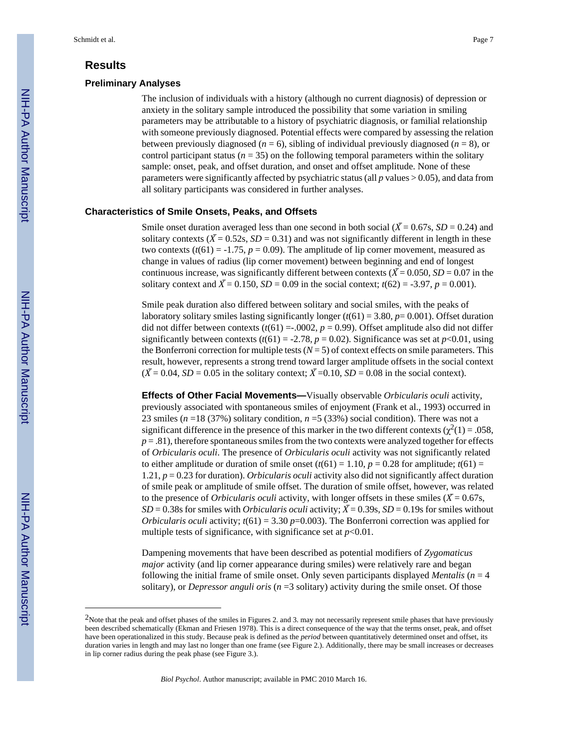## **Results**

#### **Preliminary Analyses**

The inclusion of individuals with a history (although no current diagnosis) of depression or anxiety in the solitary sample introduced the possibility that some variation in smiling parameters may be attributable to a history of psychiatric diagnosis, or familial relationship with someone previously diagnosed. Potential effects were compared by assessing the relation between previously diagnosed ( $n = 6$ ), sibling of individual previously diagnosed ( $n = 8$ ), or control participant status ( $n = 35$ ) on the following temporal parameters within the solitary sample: onset, peak, and offset duration, and onset and offset amplitude. None of these parameters were significantly affected by psychiatric status (all *p* values > 0.05), and data from all solitary participants was considered in further analyses.

#### **Characteristics of Smile Onsets, Peaks, and Offsets**

Smile onset duration averaged less than one second in both social  $(X = 0.67s, SD = 0.24)$  and solitary contexts ( $\bar{X}$  = 0.52s,  $SD$  = 0.31) and was not significantly different in length in these two contexts  $(t(61) = -1.75, p = 0.09)$ . The amplitude of lip corner movement, measured as change in values of radius (lip corner movement) between beginning and end of longest continuous increase, was significantly different between contexts ( $\bar{X}$  = 0.050, *SD* = 0.07 in the solitary context and  $\bar{X} = 0.150$ ,  $SD = 0.09$  in the social context;  $t(62) = -3.97$ ,  $p = 0.001$ ).

Smile peak duration also differed between solitary and social smiles, with the peaks of laboratory solitary smiles lasting significantly longer  $(t(61) = 3.80, p = 0.001)$ . Offset duration did not differ between contexts  $(t(61) = .0002, p = 0.99)$ . Offset amplitude also did not differ significantly between contexts  $(t(61) = -2.78, p = 0.02)$ . Significance was set at  $p < 0.01$ , using the Bonferroni correction for multiple tests  $(N = 5)$  of context effects on smile parameters. This result, however, represents a strong trend toward larger amplitude offsets in the social context  $(X = 0.04, SD = 0.05$  in the solitary context;  $X = 0.10, SD = 0.08$  in the social context).

**Effects of Other Facial Movements—**Visually observable *Orbicularis oculi* activity, previously associated with spontaneous smiles of enjoyment (Frank et al., 1993) occurred in 23 smiles ( $n = 18$  (37%) solitary condition,  $n = 5$  (33%) social condition). There was not a significant difference in the presence of this marker in the two different contexts ( $\chi^2(1) = .058$ ,  $p = .81$ ), therefore spontaneous smiles from the two contexts were analyzed together for effects of *Orbicularis oculi*. The presence of *Orbicularis oculi* activity was not significantly related to either amplitude or duration of smile onset  $(t(61) = 1.10, p = 0.28$  for amplitude;  $t(61) =$ 1.21, *p* = 0.23 for duration). *Orbicularis oculi* activity also did not significantly affect duration of smile peak or amplitude of smile offset. The duration of smile offset, however, was related to the presence of *Orbicularis oculi* activity, with longer offsets in these smiles ( $\bar{X}$  = 0.67s,  $SD = 0.38$ s for smiles with *Orbicularis oculi* activity;  $\bar{X} = 0.39$ s,  $SD = 0.19$ s for smiles without *Orbicularis oculi* activity;  $t(61) = 3.30 p=0.003$ . The Bonferroni correction was applied for multiple tests of significance, with significance set at  $p<0.01$ .

Dampening movements that have been described as potential modifiers of *Zygomaticus major* activity (and lip corner appearance during smiles) were relatively rare and began following the initial frame of smile onset. Only seven participants displayed *Mentalis* (*n* = 4 solitary), or *Depressor anguli oris* (*n* =3 solitary) activity during the smile onset. Of those

<sup>&</sup>lt;sup>2</sup>Note that the peak and offset phases of the smiles in Figures 2. and 3. may not necessarily represent smile phases that have previously been described schematically (Ekman and Friesen 1978). This is a direct consequence of the way that the terms onset, peak, and offset have been operationalized in this study. Because peak is defined as the *period* between quantitatively determined onset and offset, its duration varies in length and may last no longer than one frame (see Figure 2.). Additionally, there may be small increases or decreases in lip corner radius during the peak phase (see Figure 3.).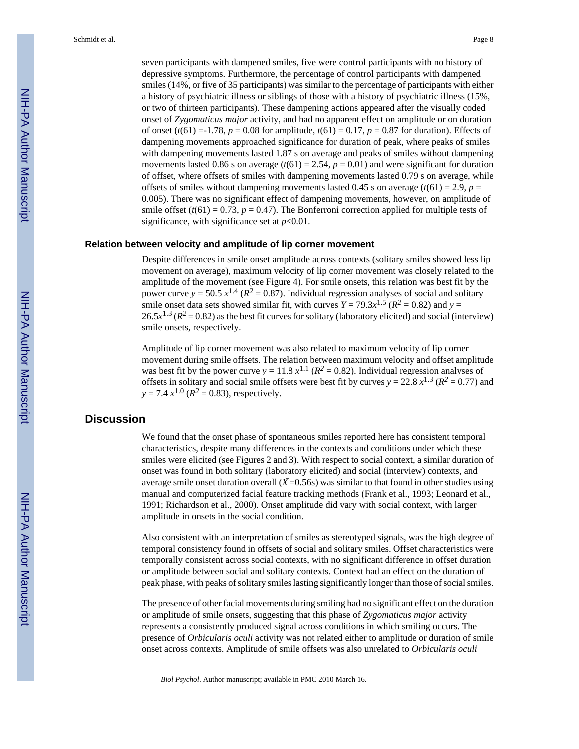seven participants with dampened smiles, five were control participants with no history of depressive symptoms. Furthermore, the percentage of control participants with dampened smiles (14%, or five of 35 participants) was similar to the percentage of participants with either a history of psychiatric illness or siblings of those with a history of psychiatric illness (15%, or two of thirteen participants). These dampening actions appeared after the visually coded onset of *Zygomaticus major* activity, and had no apparent effect on amplitude or on duration of onset  $(t(61) = 1.78, p = 0.08$  for amplitude,  $t(61) = 0.17, p = 0.87$  for duration). Effects of dampening movements approached significance for duration of peak, where peaks of smiles with dampening movements lasted 1.87 s on average and peaks of smiles without dampening movements lasted 0.86 s on average  $(t(61) = 2.54, p = 0.01)$  and were significant for duration of offset, where offsets of smiles with dampening movements lasted 0.79 s on average, while offsets of smiles without dampening movements lasted 0.45 s on average  $(t(61) = 2.9, p =$ 0.005). There was no significant effect of dampening movements, however, on amplitude of smile offset  $(t(61) = 0.73, p = 0.47)$ . The Bonferroni correction applied for multiple tests of significance, with significance set at  $p<0.01$ .

#### **Relation between velocity and amplitude of lip corner movement**

Despite differences in smile onset amplitude across contexts (solitary smiles showed less lip movement on average), maximum velocity of lip corner movement was closely related to the amplitude of the movement (see Figure 4). For smile onsets, this relation was best fit by the power curve  $y = 50.5 x^{1.4}$  ( $R^2 = 0.87$ ). Individual regression analyses of social and solitary smile onset data sets showed similar fit, with curves  $Y = 79.3x^{1.5}$  ( $R^2 = 0.82$ ) and  $y =$  $26.5x^{1.3}$  ( $R^2 = 0.82$ ) as the best fit curves for solitary (laboratory elicited) and social (interview) smile onsets, respectively.

Amplitude of lip corner movement was also related to maximum velocity of lip corner movement during smile offsets. The relation between maximum velocity and offset amplitude was best fit by the power curve  $y = 11.8 x^{1.1} (R^2 = 0.82)$ . Individual regression analyses of offsets in solitary and social smile offsets were best fit by curves  $y = 22.8 x^{1.3} (R^2 = 0.77)$  and  $y = 7.4 x^{1.0} (R^2 = 0.83)$ , respectively.

## **Discussion**

We found that the onset phase of spontaneous smiles reported here has consistent temporal characteristics, despite many differences in the contexts and conditions under which these smiles were elicited (see Figures 2 and 3). With respect to social context, a similar duration of onset was found in both solitary (laboratory elicited) and social (interview) contexts, and average smile onset duration overall  $(X=0.56s)$  was similar to that found in other studies using manual and computerized facial feature tracking methods (Frank et al., 1993; Leonard et al., 1991; Richardson et al., 2000). Onset amplitude did vary with social context, with larger amplitude in onsets in the social condition.

Also consistent with an interpretation of smiles as stereotyped signals, was the high degree of temporal consistency found in offsets of social and solitary smiles. Offset characteristics were temporally consistent across social contexts, with no significant difference in offset duration or amplitude between social and solitary contexts. Context had an effect on the duration of peak phase, with peaks of solitary smiles lasting significantly longer than those of social smiles.

The presence of other facial movements during smiling had no significant effect on the duration or amplitude of smile onsets, suggesting that this phase of *Zygomaticus major* activity represents a consistently produced signal across conditions in which smiling occurs. The presence of *Orbicularis oculi* activity was not related either to amplitude or duration of smile onset across contexts. Amplitude of smile offsets was also unrelated to *Orbicularis oculi*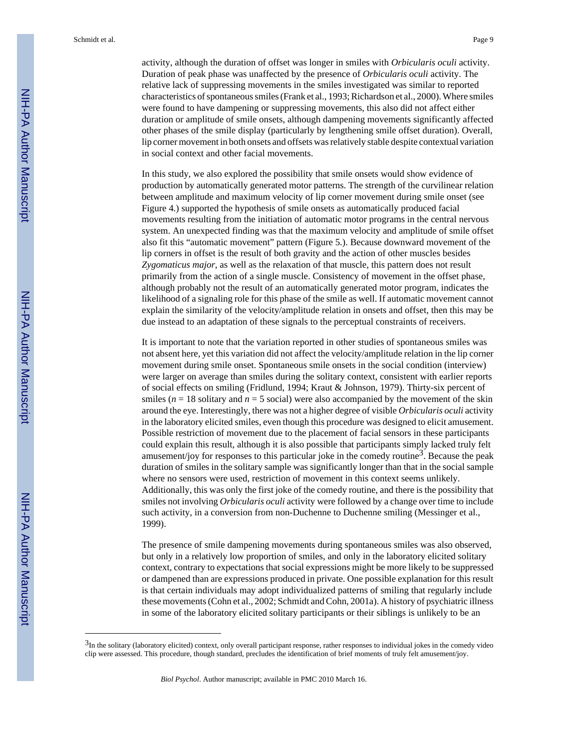activity, although the duration of offset was longer in smiles with *Orbicularis oculi* activity. Duration of peak phase was unaffected by the presence of *Orbicularis oculi* activity. The relative lack of suppressing movements in the smiles investigated was similar to reported characteristics of spontaneous smiles (Frank et al., 1993; Richardson et al., 2000). Where smiles were found to have dampening or suppressing movements, this also did not affect either duration or amplitude of smile onsets, although dampening movements significantly affected other phases of the smile display (particularly by lengthening smile offset duration). Overall, lip corner movement in both onsets and offsets was relatively stable despite contextual variation in social context and other facial movements.

In this study, we also explored the possibility that smile onsets would show evidence of production by automatically generated motor patterns. The strength of the curvilinear relation between amplitude and maximum velocity of lip corner movement during smile onset (see Figure 4.) supported the hypothesis of smile onsets as automatically produced facial movements resulting from the initiation of automatic motor programs in the central nervous system. An unexpected finding was that the maximum velocity and amplitude of smile offset also fit this "automatic movement" pattern (Figure 5.). Because downward movement of the lip corners in offset is the result of both gravity and the action of other muscles besides *Zygomaticus major*, as well as the relaxation of that muscle, this pattern does not result primarily from the action of a single muscle. Consistency of movement in the offset phase, although probably not the result of an automatically generated motor program, indicates the likelihood of a signaling role for this phase of the smile as well. If automatic movement cannot explain the similarity of the velocity/amplitude relation in onsets and offset, then this may be due instead to an adaptation of these signals to the perceptual constraints of receivers.

It is important to note that the variation reported in other studies of spontaneous smiles was not absent here, yet this variation did not affect the velocity/amplitude relation in the lip corner movement during smile onset. Spontaneous smile onsets in the social condition (interview) were larger on average than smiles during the solitary context, consistent with earlier reports of social effects on smiling (Fridlund, 1994; Kraut & Johnson, 1979). Thirty-six percent of smiles ( $n = 18$  solitary and  $n = 5$  social) were also accompanied by the movement of the skin around the eye. Interestingly, there was not a higher degree of visible *Orbicularis oculi* activity in the laboratory elicited smiles, even though this procedure was designed to elicit amusement. Possible restriction of movement due to the placement of facial sensors in these participants could explain this result, although it is also possible that participants simply lacked truly felt amusement/joy for responses to this particular joke in the comedy routine<sup>3</sup>. Because the peak duration of smiles in the solitary sample was significantly longer than that in the social sample where no sensors were used, restriction of movement in this context seems unlikely. Additionally, this was only the first joke of the comedy routine, and there is the possibility that smiles not involving *Orbicularis oculi* activity were followed by a change over time to include such activity, in a conversion from non-Duchenne to Duchenne smiling (Messinger et al., 1999).

The presence of smile dampening movements during spontaneous smiles was also observed, but only in a relatively low proportion of smiles, and only in the laboratory elicited solitary context, contrary to expectations that social expressions might be more likely to be suppressed or dampened than are expressions produced in private. One possible explanation for this result is that certain individuals may adopt individualized patterns of smiling that regularly include these movements (Cohn et al., 2002; Schmidt and Cohn, 2001a). A history of psychiatric illness in some of the laboratory elicited solitary participants or their siblings is unlikely to be an

<sup>3</sup>In the solitary (laboratory elicited) context, only overall participant response, rather responses to individual jokes in the comedy video clip were assessed. This procedure, though standard, precludes the identification of brief moments of truly felt amusement/joy.

*Biol Psychol*. Author manuscript; available in PMC 2010 March 16.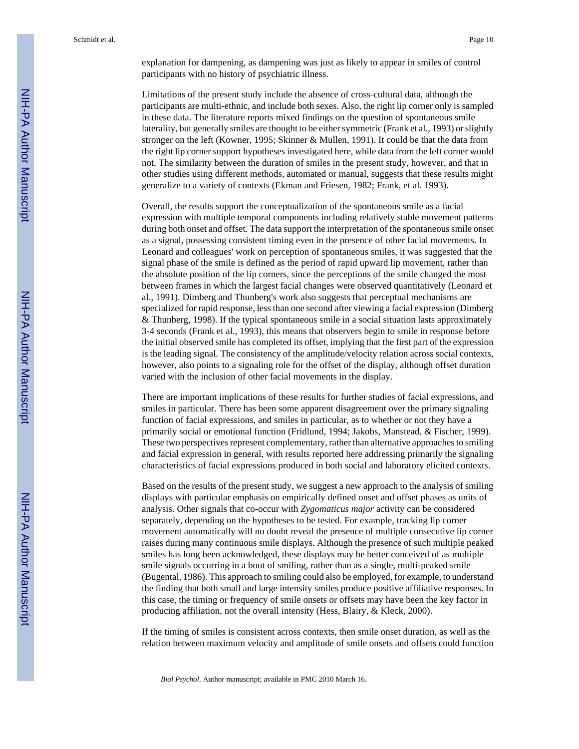explanation for dampening, as dampening was just as likely to appear in smiles of control participants with no history of psychiatric illness.

Limitations of the present study include the absence of cross-cultural data, although the participants are multi-ethnic, and include both sexes. Also, the right lip corner only is sampled in these data. The literature reports mixed findings on the question of spontaneous smile laterality, but generally smiles are thought to be either symmetric (Frank et al., 1993) or slightly stronger on the left (Kowner, 1995; Skinner & Mullen, 1991). It could be that the data from the right lip corner support hypotheses investigated here, while data from the left corner would not. The similarity between the duration of smiles in the present study, however, and that in other studies using different methods, automated or manual, suggests that these results might generalize to a variety of contexts (Ekman and Friesen, 1982; Frank, et al. 1993).

Overall, the results support the conceptualization of the spontaneous smile as a facial expression with multiple temporal components including relatively stable movement patterns during both onset and offset. The data support the interpretation of the spontaneous smile onset as a signal, possessing consistent timing even in the presence of other facial movements. In Leonard and colleagues' work on perception of spontaneous smiles, it was suggested that the signal phase of the smile is defined as the period of rapid upward lip movement, rather than the absolute position of the lip corners, since the perceptions of the smile changed the most between frames in which the largest facial changes were observed quantitatively (Leonard et al., 1991). Dimberg and Thunberg's work also suggests that perceptual mechanisms are specialized for rapid response, less than one second after viewing a facial expression (Dimberg & Thunberg, 1998). If the typical spontaneous smile in a social situation lasts approximately 3-4 seconds (Frank et al., 1993), this means that observers begin to smile in response before the initial observed smile has completed its offset, implying that the first part of the expression is the leading signal. The consistency of the amplitude/velocity relation across social contexts, however, also points to a signaling role for the offset of the display, although offset duration varied with the inclusion of other facial movements in the display.

There are important implications of these results for further studies of facial expressions, and smiles in particular. There has been some apparent disagreement over the primary signaling function of facial expressions, and smiles in particular, as to whether or not they have a primarily social or emotional function (Fridlund, 1994; Jakobs, Manstead, & Fischer, 1999). These two perspectives represent complementary, rather than alternative approaches to smiling and facial expression in general, with results reported here addressing primarily the signaling characteristics of facial expressions produced in both social and laboratory elicited contexts.

Based on the results of the present study, we suggest a new approach to the analysis of smiling displays with particular emphasis on empirically defined onset and offset phases as units of analysis. Other signals that co-occur with *Zygomaticus major* activity can be considered separately, depending on the hypotheses to be tested. For example, tracking lip corner movement automatically will no doubt reveal the presence of multiple consecutive lip corner raises during many continuous smile displays. Although the presence of such multiple peaked smiles has long been acknowledged, these displays may be better conceived of as multiple smile signals occurring in a bout of smiling, rather than as a single, multi-peaked smile (Bugental, 1986). This approach to smiling could also be employed, for example, to understand the finding that both small and large intensity smiles produce positive affiliative responses. In this case, the timing or frequency of smile onsets or offsets may have been the key factor in producing affiliation, not the overall intensity (Hess, Blairy, & Kleck, 2000).

If the timing of smiles is consistent across contexts, then smile onset duration, as well as the relation between maximum velocity and amplitude of smile onsets and offsets could function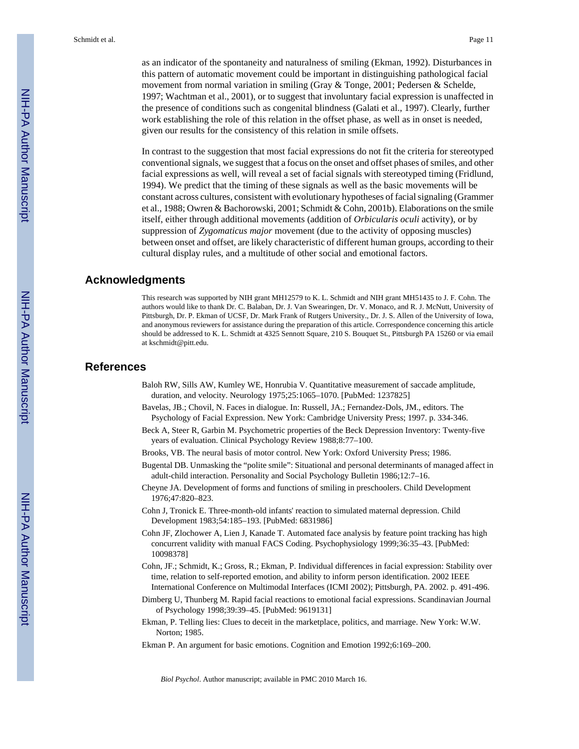as an indicator of the spontaneity and naturalness of smiling (Ekman, 1992). Disturbances in this pattern of automatic movement could be important in distinguishing pathological facial movement from normal variation in smiling (Gray & Tonge, 2001; Pedersen & Schelde, 1997; Wachtman et al., 2001), or to suggest that involuntary facial expression is unaffected in the presence of conditions such as congenital blindness (Galati et al., 1997). Clearly, further work establishing the role of this relation in the offset phase, as well as in onset is needed, given our results for the consistency of this relation in smile offsets.

In contrast to the suggestion that most facial expressions do not fit the criteria for stereotyped conventional signals, we suggest that a focus on the onset and offset phases of smiles, and other facial expressions as well, will reveal a set of facial signals with stereotyped timing (Fridlund, 1994). We predict that the timing of these signals as well as the basic movements will be constant across cultures, consistent with evolutionary hypotheses of facial signaling (Grammer et al., 1988; Owren & Bachorowski, 2001; Schmidt & Cohn, 2001b). Elaborations on the smile itself, either through additional movements (addition of *Orbicularis oculi* activity), or by suppression of *Zygomaticus major* movement (due to the activity of opposing muscles) between onset and offset, are likely characteristic of different human groups, according to their cultural display rules, and a multitude of other social and emotional factors.

## **Acknowledgments**

This research was supported by NIH grant MH12579 to K. L. Schmidt and NIH grant MH51435 to J. F. Cohn. The authors would like to thank Dr. C. Balaban, Dr. J. Van Swearingen, Dr. V. Monaco, and R. J. McNutt, University of Pittsburgh, Dr. P. Ekman of UCSF, Dr. Mark Frank of Rutgers University., Dr. J. S. Allen of the University of Iowa, and anonymous reviewers for assistance during the preparation of this article. Correspondence concerning this article should be addressed to K. L. Schmidt at 4325 Sennott Square, 210 S. Bouquet St., Pittsburgh PA 15260 or via email at kschmidt@pitt.edu.

#### **References**

- Baloh RW, Sills AW, Kumley WE, Honrubia V. Quantitative measurement of saccade amplitude, duration, and velocity. Neurology 1975;25:1065–1070. [PubMed: 1237825]
- Bavelas, JB.; Chovil, N. Faces in dialogue. In: Russell, JA.; Fernandez-Dols, JM., editors. The Psychology of Facial Expression. New York: Cambridge University Press; 1997. p. 334-346.
- Beck A, Steer R, Garbin M. Psychometric properties of the Beck Depression Inventory: Twenty-five years of evaluation. Clinical Psychology Review 1988;8:77–100.
- Brooks, VB. The neural basis of motor control. New York: Oxford University Press; 1986.
- Bugental DB. Unmasking the "polite smile": Situational and personal determinants of managed affect in adult-child interaction. Personality and Social Psychology Bulletin 1986;12:7–16.
- Cheyne JA. Development of forms and functions of smiling in preschoolers. Child Development 1976;47:820–823.
- Cohn J, Tronick E. Three-month-old infants' reaction to simulated maternal depression. Child Development 1983;54:185–193. [PubMed: 6831986]
- Cohn JF, Zlochower A, Lien J, Kanade T. Automated face analysis by feature point tracking has high concurrent validity with manual FACS Coding. Psychophysiology 1999;36:35–43. [PubMed: 10098378]
- Cohn, JF.; Schmidt, K.; Gross, R.; Ekman, P. Individual differences in facial expression: Stability over time, relation to self-reported emotion, and ability to inform person identification. 2002 IEEE International Conference on Multimodal Interfaces (ICMI 2002); Pittsburgh, PA. 2002. p. 491-496.
- Dimberg U, Thunberg M. Rapid facial reactions to emotional facial expressions. Scandinavian Journal of Psychology 1998;39:39–45. [PubMed: 9619131]
- Ekman, P. Telling lies: Clues to deceit in the marketplace, politics, and marriage. New York: W.W. Norton; 1985.
- Ekman P. An argument for basic emotions. Cognition and Emotion 1992;6:169–200.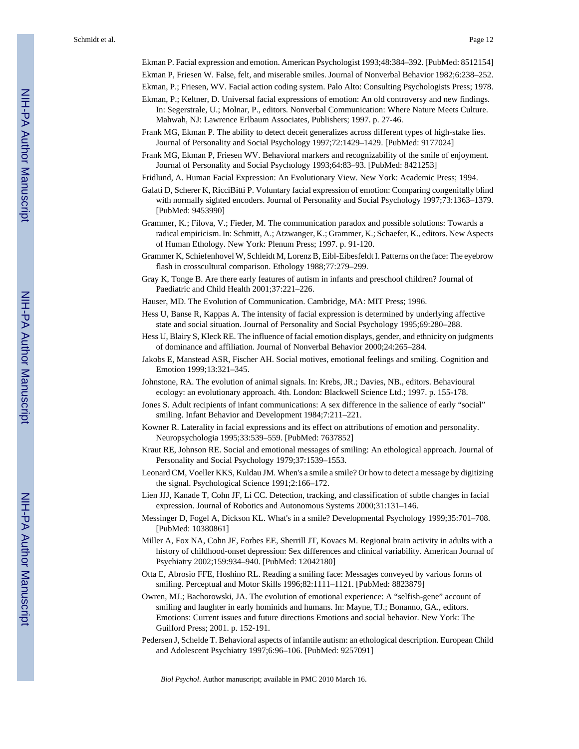Ekman P. Facial expression and emotion. American Psychologist 1993;48:384–392. [PubMed: 8512154] Ekman P, Friesen W. False, felt, and miserable smiles. Journal of Nonverbal Behavior 1982;6:238–252.

Ekman, P.; Friesen, WV. Facial action coding system. Palo Alto: Consulting Psychologists Press; 1978.

- Ekman, P.; Keltner, D. Universal facial expressions of emotion: An old controversy and new findings. In: Segerstrale, U.; Molnar, P., editors. Nonverbal Communication: Where Nature Meets Culture. Mahwah, NJ: Lawrence Erlbaum Associates, Publishers; 1997. p. 27-46.
- Frank MG, Ekman P. The ability to detect deceit generalizes across different types of high-stake lies. Journal of Personality and Social Psychology 1997;72:1429–1429. [PubMed: 9177024]
- Frank MG, Ekman P, Friesen WV. Behavioral markers and recognizability of the smile of enjoyment. Journal of Personality and Social Psychology 1993;64:83–93. [PubMed: 8421253]
- Fridlund, A. Human Facial Expression: An Evolutionary View. New York: Academic Press; 1994.
- Galati D, Scherer K, RicciBitti P. Voluntary facial expression of emotion: Comparing congenitally blind with normally sighted encoders. Journal of Personality and Social Psychology 1997;73:1363–1379. [PubMed: 9453990]
- Grammer, K.; Filova, V.; Fieder, M. The communication paradox and possible solutions: Towards a radical empiricism. In: Schmitt, A.; Atzwanger, K.; Grammer, K.; Schaefer, K., editors. New Aspects of Human Ethology. New York: Plenum Press; 1997. p. 91-120.
- Grammer K, Schiefenhovel W, Schleidt M, Lorenz B, Eibl-Eibesfeldt I. Patterns on the face: The eyebrow flash in crosscultural comparison. Ethology 1988;77:279–299.
- Gray K, Tonge B. Are there early features of autism in infants and preschool children? Journal of Paediatric and Child Health 2001;37:221–226.
- Hauser, MD. The Evolution of Communication. Cambridge, MA: MIT Press; 1996.
- Hess U, Banse R, Kappas A. The intensity of facial expression is determined by underlying affective state and social situation. Journal of Personality and Social Psychology 1995;69:280–288.
- Hess U, Blairy S, Kleck RE. The influence of facial emotion displays, gender, and ethnicity on judgments of dominance and affiliation. Journal of Nonverbal Behavior 2000;24:265–284.
- Jakobs E, Manstead ASR, Fischer AH. Social motives, emotional feelings and smiling. Cognition and Emotion 1999;13:321–345.
- Johnstone, RA. The evolution of animal signals. In: Krebs, JR.; Davies, NB., editors. Behavioural ecology: an evolutionary approach. 4th. London: Blackwell Science Ltd.; 1997. p. 155-178.
- Jones S. Adult recipients of infant communications: A sex difference in the salience of early "social" smiling. Infant Behavior and Development 1984;7:211–221.
- Kowner R. Laterality in facial expressions and its effect on attributions of emotion and personality. Neuropsychologia 1995;33:539–559. [PubMed: 7637852]
- Kraut RE, Johnson RE. Social and emotional messages of smiling: An ethological approach. Journal of Personality and Social Psychology 1979;37:1539–1553.
- Leonard CM, Voeller KKS, Kuldau JM. When's a smile a smile? Or how to detect a message by digitizing the signal. Psychological Science 1991;2:166–172.
- Lien JJJ, Kanade T, Cohn JF, Li CC. Detection, tracking, and classification of subtle changes in facial expression. Journal of Robotics and Autonomous Systems 2000;31:131–146.
- Messinger D, Fogel A, Dickson KL. What's in a smile? Developmental Psychology 1999;35:701–708. [PubMed: 10380861]
- Miller A, Fox NA, Cohn JF, Forbes EE, Sherrill JT, Kovacs M. Regional brain activity in adults with a history of childhood-onset depression: Sex differences and clinical variability. American Journal of Psychiatry 2002;159:934–940. [PubMed: 12042180]
- Otta E, Abrosio FFE, Hoshino RL. Reading a smiling face: Messages conveyed by various forms of smiling. Perceptual and Motor Skills 1996;82:1111–1121. [PubMed: 8823879]
- Owren, MJ.; Bachorowski, JA. The evolution of emotional experience: A "selfish-gene" account of smiling and laughter in early hominids and humans. In: Mayne, TJ.; Bonanno, GA., editors. Emotions: Current issues and future directions Emotions and social behavior. New York: The Guilford Press; 2001. p. 152-191.
- Pedersen J, Schelde T. Behavioral aspects of infantile autism: an ethological description. European Child and Adolescent Psychiatry 1997;6:96–106. [PubMed: 9257091]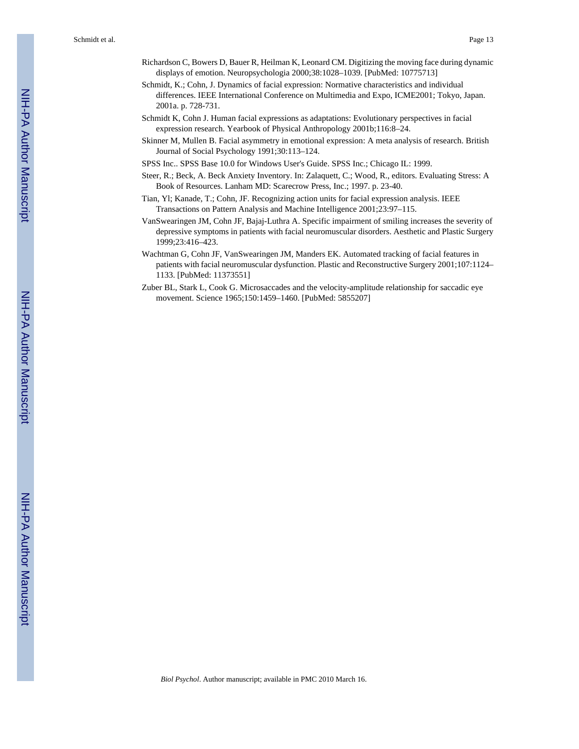- Richardson C, Bowers D, Bauer R, Heilman K, Leonard CM. Digitizing the moving face during dynamic displays of emotion. Neuropsychologia 2000;38:1028–1039. [PubMed: 10775713]
- Schmidt, K.; Cohn, J. Dynamics of facial expression: Normative characteristics and individual differences. IEEE International Conference on Multimedia and Expo, ICME2001; Tokyo, Japan. 2001a. p. 728-731.
- Schmidt K, Cohn J. Human facial expressions as adaptations: Evolutionary perspectives in facial expression research. Yearbook of Physical Anthropology 2001b;116:8–24.
- Skinner M, Mullen B. Facial asymmetry in emotional expression: A meta analysis of research. British Journal of Social Psychology 1991;30:113–124.
- SPSS Inc.. SPSS Base 10.0 for Windows User's Guide. SPSS Inc.; Chicago IL: 1999.
- Steer, R.; Beck, A. Beck Anxiety Inventory. In: Zalaquett, C.; Wood, R., editors. Evaluating Stress: A Book of Resources. Lanham MD: Scarecrow Press, Inc.; 1997. p. 23-40.
- Tian, Yl; Kanade, T.; Cohn, JF. Recognizing action units for facial expression analysis. IEEE Transactions on Pattern Analysis and Machine Intelligence 2001;23:97–115.
- VanSwearingen JM, Cohn JF, Bajaj-Luthra A. Specific impairment of smiling increases the severity of depressive symptoms in patients with facial neuromuscular disorders. Aesthetic and Plastic Surgery 1999;23:416–423.
- Wachtman G, Cohn JF, VanSwearingen JM, Manders EK. Automated tracking of facial features in patients with facial neuromuscular dysfunction. Plastic and Reconstructive Surgery 2001;107:1124– 1133. [PubMed: 11373551]
- Zuber BL, Stark L, Cook G. Microsaccades and the velocity-amplitude relationship for saccadic eye movement. Science 1965;150:1459–1460. [PubMed: 5855207]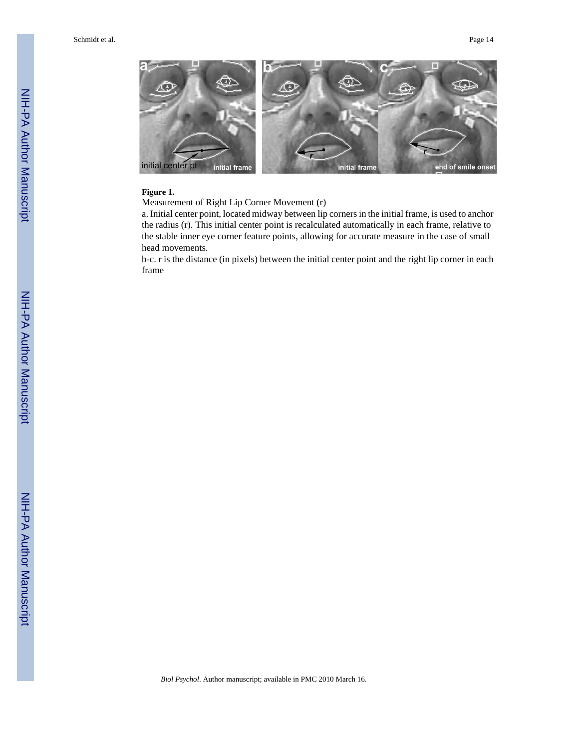

#### **Figure 1.**

Measurement of Right Lip Corner Movement (r)

a. Initial center point, located midway between lip corners in the initial frame, is used to anchor the radius (r). This initial center point is recalculated automatically in each frame, relative to the stable inner eye corner feature points, allowing for accurate measure in the case of small head movements.

b-c. r is the distance (in pixels) between the initial center point and the right lip corner in each frame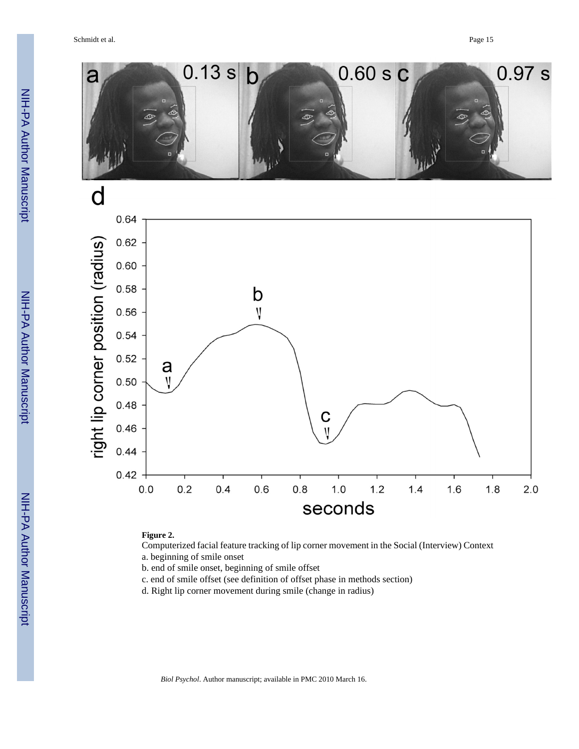Schmidt et al. Page 15



## **Figure 2.**

Computerized facial feature tracking of lip corner movement in the Social (Interview) Context a. beginning of smile onset

- b. end of smile onset, beginning of smile offset
- c. end of smile offset (see definition of offset phase in methods section)
- d. Right lip corner movement during smile (change in radius)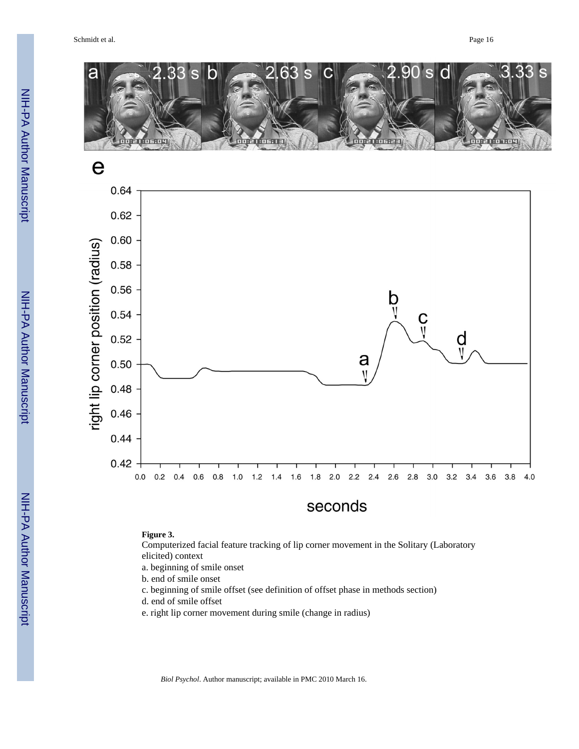Schmidt et al. Page 16





seconds

#### **Figure 3.**

Computerized facial feature tracking of lip corner movement in the Solitary (Laboratory elicited) context

- a. beginning of smile onset
- b. end of smile onset
- c. beginning of smile offset (see definition of offset phase in methods section)
- d. end of smile offset
- e. right lip corner movement during smile (change in radius)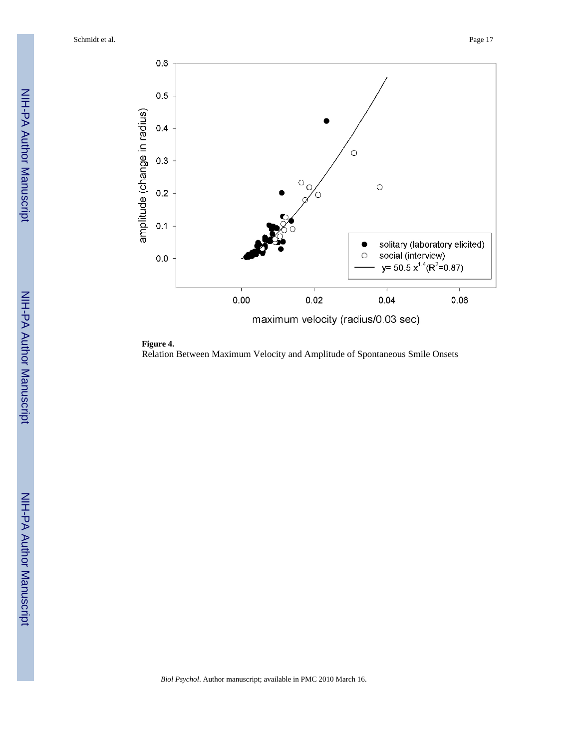Schmidt et al. Page 17





Relation Between Maximum Velocity and Amplitude of Spontaneous Smile Onsets